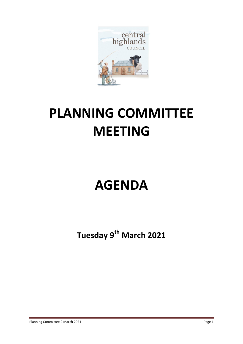

# **PLANNING COMMITTEE MEETING**

# **AGENDA**

**Tuesday 9 th March 2021**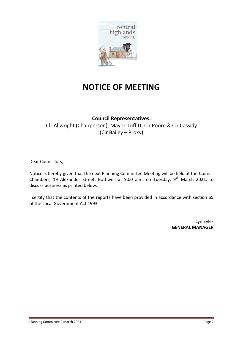

## **NOTICE OF MEETING**

### **Council Representatives:**

Clr Allwright (Chairperson); Mayor Triffitt, Clr Poore & Clr Cassidy (Clr Bailey – Proxy)

Dear Councillors,

Notice is hereby given that the next Planning Committee Meeting will be held at the Council Chambers, 19 Alexander Street, Bothwell at 9.00 a.m. on Tuesday, 9<sup>th</sup> March 2021, to discuss business as printed below.

I certify that the contents of the reports have been provided in accordance with section 65 of the Local Government Act 1993.

> Lyn Eyles **GENERAL MANAGER**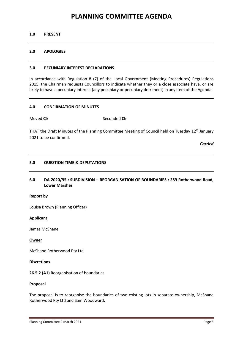### **PLANNING COMMITTEE AGENDA**

#### **1.0 PRESENT**

#### **2.0 APOLOGIES**

#### **3.0 PECUNIARY INTEREST DECLARATIONS**

In accordance with Regulation 8 (7) of the Local Government (Meeting Procedures) Regulations 2015, the Chairman requests Councillors to indicate whether they or a close associate have, or are likely to have a pecuniary interest (any pecuniary or pecuniary detriment) in any item of the Agenda.

#### **4.0 CONFIRMATION OF MINUTES**

Moved **Cir** Seconded **Cir** 

THAT the Draft Minutes of the Planning Committee Meeting of Council held on Tuesday 12<sup>th</sup> January 2021 to be confirmed.

*Carried*

#### **5.0 QUESTION TIME & DEPUTATIONS**

**6.0 DA 2020/95 : SUBDIVISION – REORGANISATION OF BOUNDARIES : 289 Rotherwood Road, Lower Marshes**

#### **Report by**

Louisa Brown (Planning Officer)

#### **Applicant**

James McShane

#### **Owner**

McShane Rotherwood Pty Ltd

#### **Discretions**

**26.5.2 (A1)** Reorganisation of boundaries

#### **Proposal**

The proposal is to reorganise the boundaries of two existing lots in separate ownership, McShane Rotherwood Pty Ltd and Sam Woodward.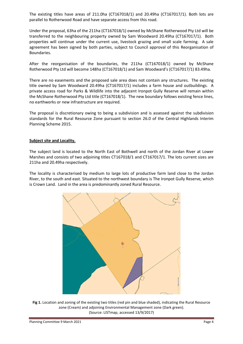The existing titles have areas of 211.0ha (CT167018/1) and 20.49ha (CT167017/1). Both lots are parallel to Rotherwood Road and have separate access from this road.

Under the proposal, 63ha of the 211ha (CT167018/1) owned by McShane Rotherwood Pty Ltd will be transferred to the neighbouring property owned by Sam Woodward 20.49ha (CT167017/1). Both properties will continue under the current use, livestock grazing and small scale farming. A sale agreement has been signed by both parties, subject to Council approval of this Reorganisation of Boundaries.

After the reorganisation of the boundaries, the 211ha (CT167018/1) owned by McShane Rotherwood Pty Ltd will become 148ha (CT167018/1) and Sam Woodward's (CT167017/1) 83.49ha.

There are no easements and the proposed sale area does not contain any structures. The existing title owned by Sam Woodward 20.49ha (CT167017/1) includes a farm house and outbuildings. A private access road for Parks & Wildlife into the adjacent Ironpot Gully Reserve will remain within the McShane Rotherwood Pty Ltd title (CT167018/1). The new boundary follows existing fence lines, no earthworks or new infrastructure are required.

The proposal is discretionary owing to being a subdivision and is assessed against the subdivision standards for the Rural Resource Zone pursuant to section 26.0 of the Central Highlands Interim Planning Scheme 2015.

#### **Subject site and Locality.**

The subject land is located to the North East of Bothwell and north of the Jordan River at Lower Marshes and consists of two adjoining titles CT167018/1 and CT167017/1. The lots current sizes are 211ha and 20.49ha respectively.

The locality is characterised by medium to large lots of productive farm land close to the Jordan River, to the south and east. Situated to the northwest boundary is The Ironpot Gully Reserve, which is Crown Land. Land in the area is predominantly zoned Rural Resource.



**Fig 1.** Location and zoning of the existing two titles (red pin and blue shaded), indicating the Rural Resource zone (Cream) and adjoining Environmental Management zone (Dark green). (Source: LISTmap, accessed 13/9/2017)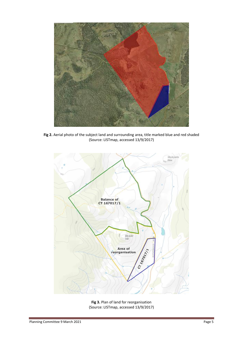

**Fig 2.** Aerial photo of the subject land and surrounding area, title marked blue and red shaded (Source: LISTmap, accessed 13/9/2017)



**Fig 3.** Plan of land for reorganisation (Source: LISTmap, accessed 13/9/2017)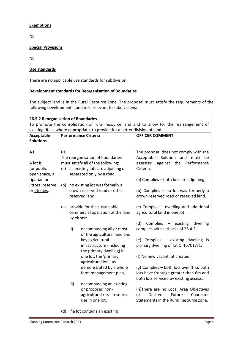#### **Exemptions**

Nil

#### **Special Provisions**

Nil

#### **Use standards**

There are no applicable use standards for subdivision.

#### **Development standards for Reorganisation of Boundaries**

The subject land is in the Rural Resource Zone. The proposal must satisfy the requirements of the following development standards, relevant to subdivisions:

| 26.5.2 Reorganisation of Boundaries                                                       |                                    |                                   |                                              |                                                                                   |  |  |  |  |
|-------------------------------------------------------------------------------------------|------------------------------------|-----------------------------------|----------------------------------------------|-----------------------------------------------------------------------------------|--|--|--|--|
| To promote the consolidation of rural resource land and to allow for the rearrangement of |                                    |                                   |                                              |                                                                                   |  |  |  |  |
| existing titles, where appropriate, to provide for a better division of land.             |                                    |                                   |                                              |                                                                                   |  |  |  |  |
| <b>Acceptable</b>                                                                         |                                    |                                   | <b>Performance Criteria</b>                  | <b>OFFICER COMMENT</b>                                                            |  |  |  |  |
| <b>Solutions</b>                                                                          |                                    |                                   |                                              |                                                                                   |  |  |  |  |
|                                                                                           |                                    |                                   |                                              |                                                                                   |  |  |  |  |
| A1                                                                                        | <b>P1</b>                          |                                   |                                              | The proposal does not comply with the                                             |  |  |  |  |
|                                                                                           | The reorganisation of boundaries   |                                   |                                              | Acceptable Solution and must be                                                   |  |  |  |  |
| A lot is                                                                                  | must satisfy all of the following: |                                   |                                              | assessed<br>against the Performance                                               |  |  |  |  |
| for public                                                                                |                                    |                                   | (a) all existing lots are adjoining or       | Criteria.                                                                         |  |  |  |  |
| open space, a                                                                             |                                    |                                   | separated only by a road;                    |                                                                                   |  |  |  |  |
| riparian or                                                                               |                                    |                                   |                                              | (a) Complies - both lots are adjoining.                                           |  |  |  |  |
| littoral reserve                                                                          | (b)                                |                                   | no existing lot was formally a               |                                                                                   |  |  |  |  |
| or utilities.                                                                             |                                    |                                   | crown reserved road or other                 | (b) Complies - no lot was formerly a                                              |  |  |  |  |
|                                                                                           |                                    |                                   | reserved land;                               | crown reserved road or reserved land.                                             |  |  |  |  |
|                                                                                           |                                    |                                   |                                              |                                                                                   |  |  |  |  |
|                                                                                           | (c)                                | provide for the sustainable       |                                              | (c) Complies - dwelling and additional                                            |  |  |  |  |
|                                                                                           |                                    |                                   | commercial operation of the land             | agricultural land in one lot.                                                     |  |  |  |  |
|                                                                                           |                                    | by either:                        |                                              |                                                                                   |  |  |  |  |
|                                                                                           |                                    |                                   |                                              | (d)<br>Complies<br>dwelling<br>- existing                                         |  |  |  |  |
|                                                                                           |                                    | (i)                               | encompassing all or most                     | complies with setbacks of 26.4.2.                                                 |  |  |  |  |
|                                                                                           |                                    |                                   | of the agricultural land and                 |                                                                                   |  |  |  |  |
|                                                                                           |                                    |                                   | key agricultural                             | (e) Complies - existing dwelling is                                               |  |  |  |  |
|                                                                                           |                                    |                                   | infrastructure (including                    | primary dwelling of lot CT167017/1.                                               |  |  |  |  |
|                                                                                           |                                    |                                   | the primary dwelling) in                     |                                                                                   |  |  |  |  |
|                                                                                           |                                    |                                   | one lot, the 'primary                        | (f) No new vacant lot created.                                                    |  |  |  |  |
|                                                                                           |                                    |                                   | agricultural lot', as                        |                                                                                   |  |  |  |  |
|                                                                                           |                                    |                                   | demonstrated by a whole                      | (g) Complies - both lots over 1ha, both<br>lots have frontage greater than 6m and |  |  |  |  |
|                                                                                           |                                    |                                   | farm management plan,                        |                                                                                   |  |  |  |  |
|                                                                                           |                                    | (ii)                              |                                              | both lots serviced by existing access.                                            |  |  |  |  |
|                                                                                           |                                    |                                   | encompassing an existing<br>or proposed non- | (h)There are no Local Area Objectives                                             |  |  |  |  |
|                                                                                           |                                    |                                   | agricultural rural resource                  | Character<br>or<br><b>Desired</b><br>Future                                       |  |  |  |  |
|                                                                                           |                                    |                                   | use in one lot;                              | Statements in the Rural Resource zone.                                            |  |  |  |  |
|                                                                                           |                                    |                                   |                                              |                                                                                   |  |  |  |  |
|                                                                                           |                                    | (d) if a lot contains an existing |                                              |                                                                                   |  |  |  |  |
|                                                                                           |                                    |                                   |                                              |                                                                                   |  |  |  |  |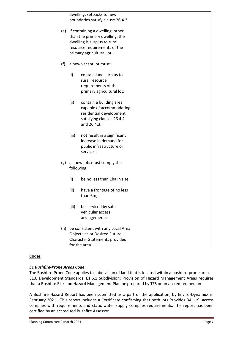|     |                        | dwelling, setbacks to new                                                                                                                                          |  |
|-----|------------------------|--------------------------------------------------------------------------------------------------------------------------------------------------------------------|--|
|     |                        | boundaries satisfy clause 26.4.2;                                                                                                                                  |  |
|     |                        | (e) if containing a dwelling, other<br>than the primary dwelling, the<br>dwelling is surplus to rural<br>resource requirements of the<br>primary agricultural lot; |  |
| (f) | a new vacant lot must: |                                                                                                                                                                    |  |
|     | (i)                    | contain land surplus to<br>rural resource<br>requirements of the<br>primary agricultural lot;                                                                      |  |
|     | (ii)                   | contain a building area<br>capable of accommodating<br>residential development<br>satisfying clauses 26.4.2<br>and 26.4.3.                                         |  |
|     | (iii)                  | not result in a significant<br>increase in demand for<br>public infrastructure or<br>services;                                                                     |  |
| (g) | following:             | all new lots must comply the                                                                                                                                       |  |
|     | (i)                    | be no less than 1ha in size;                                                                                                                                       |  |
|     | (ii)                   | have a frontage of no less<br>than 6m;                                                                                                                             |  |
|     | (iii)                  | be serviced by safe<br>vehicular access<br>arrangements;                                                                                                           |  |
|     |                        | (h) be consistent with any Local Area<br><b>Objectives or Desired Future</b><br><b>Character Statements provided</b><br>for the area.                              |  |

#### **Codes**

#### *E1 Bushfire-Prone Areas Code*

The Bushfire-Prone Code applies to subdivision of land that is located within a bushfire-prone area. E1.6 Development Standards, E1.6.1 Subdivision: Provision of Hazard Management Areas requires that a Bushfire Risk and Hazard Management Plan be prepared by TFS or an accredited person.

A Bushfire Hazard Report has been submitted as a part of the application, by Enviro-Dynamics in February 2021. This report includes a Certificate confirming that both lots Provides BAL-19, access complies with requirements and static water supply complies requirements. The report has been certified by an accredited Bushfire Assessor.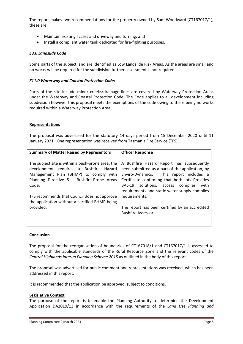The report makes two recommendations for the property owned by Sam Woodward (CT167017/1), these are;

- Maintain existing access and driveway and turning: and
- Install a compliant water tank dedicated for fire-fighting purposes.

#### *E3.0 Landslide Code*

Some parts of the subject land are identified as Low Landslide Risk Areas. As the areas are small and no works will be required for the subdivision further assessment is not required.

#### *E11.0 Waterway and Coastal Protection Code:*

Parts of the site include minor creeks/drainage lines are covered by Waterway Protection Areas under the Waterway and Coastal Protection Code. The Code applies to all development including subdivision however this proposal meets the exemptions of the code owing to there being no works required within a Waterway Protection Area.

#### **Representations**

The proposal was advertised for the statutory 14 days period from 15 December 2020 until 11 January 2021. One representation was received from Tasmania Fire Service (TFS).

| <b>Summary of Matter Raised by Representors</b>                                                                                                                                                                                                                                                             | <b>Officer Response</b>                                                                                                                                                                                                                                                                                                                                                                 |
|-------------------------------------------------------------------------------------------------------------------------------------------------------------------------------------------------------------------------------------------------------------------------------------------------------------|-----------------------------------------------------------------------------------------------------------------------------------------------------------------------------------------------------------------------------------------------------------------------------------------------------------------------------------------------------------------------------------------|
| The subject site is within a bush-prone area, the<br>development requires a Bushfire Hazard<br>Management Plan (BHMP) to comply with<br>Planning Directive 5 - Bushfire-Prone Areas<br>Code.<br>TFS recommends that Council does not approve<br>the application without a certified BHMP being<br>provided. | A Bushfire Hazard Report has subsequently<br>been submitted as a part of the application, by<br>Enviro-Dynamics. This report includes a<br>Certificate confirming that both lots Provides<br>BAL-19 solutions, access complies<br>with<br>requirements and static water supply complies<br>requirements.<br>The report has been certified by an accredited<br><b>Bushfire Assessor.</b> |
|                                                                                                                                                                                                                                                                                                             |                                                                                                                                                                                                                                                                                                                                                                                         |

#### **Conclusion**

The proposal for the reorganisation of boundaries of CT167018/1 and CT167017/1 is assessed to comply with the applicable standards of the Rural Resource Zone and the relevant codes of the *Central Highlands interim Planning Scheme 2015* as outlined in the body of this report.

The proposal was advertised for public comment one representations was received, which has been addressed in this report.

It is recommended that the application be approved, subject to conditions.

#### **Legislative Context**

The purpose of the report is to enable the Planning Authority to determine the Development Application DA2019/13 in accordance with the requirements of the *Land Use Planning and*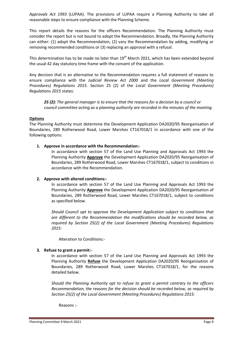*Approvals Act 1993* (LUPAA). The provisions of LUPAA require a Planning Authority to take all reasonable steps to ensure compliance with the Planning Scheme.

This report details the reasons for the officers Recommendation. The Planning Authority must consider the report but is not bound to adopt the Recommendation. Broadly, the Planning Authority can either: (1) adopt the Recommendation, (2) vary the Recommendation by adding, modifying or removing recommended conditions or (3) replacing an approval with a refusal.

This determination has to be made no later than 19<sup>th</sup> March 2021, which has been extended beyond the usual 42 day statutory time frame with the consent of the application.

Any decision that is an alternative to the Recommendation requires a full statement of reasons to ensure compliance with the *Judicial Review Act 2000* and the *Local Government (Meeting Procedures) Regulations 2015*. Section 25 (2) of the *Local Government (Meeting Procedures) Regulations 2015* states:

*25 (2): The general manager is to ensure that the reasons for a decision by a council or council committee acting as a planning authority are recorded in the minutes of the meeting.*

#### **Options**

The Planning Authority must determine the Development Application DA2020/95 Reorganisation of Boundaries, 289 Rotherwood Road, Lower Marshes CT167018/1 in accordance with one of the following options:

#### **1. Approve in accordance with the Recommendation:-**

In accordance with section 57 of the Land Use Planning and Approvals Act 1993 the Planning Authority **Approve** the Development Application DA2020/95 Reorganisation of Boundaries, 289 Rotherwood Road, Lower Marshes CT167018/1, subject to conditions in accordance with the Recommendation.

#### **2. Approve with altered conditions:-**

In accordance with section 57 of the Land Use Planning and Approvals Act 1993 the Planning Authority **Approve** the Development Application DA2020/95 Reorganisation of Boundaries, 289 Rotherwood Road, Lower Marshes CT167018/1, subject to conditions as specified below.

*Should Council opt to approve the Development Application subject to conditions that are different to the Recommendation the modifications should be recorded below, as required by Section 25(2) of the Local Government (Meeting Procedures) Regulations 2015:*

Alteration to Conditions:-

#### **3. Refuse to grant a permit:-**

In accordance with section 57 of the Land Use Planning and Approvals Act 1993 the Planning Authority **Refuse** the Development Application DA2020/95 Reorganisation of Boundaries, 289 Rotherwood Road, Lower Marshes CT167018/1, for the reasons detailed below.

*Should the Planning Authority opt to refuse to grant a permit contrary to the officers Recommendation, the reasons for the decision should be recorded below, as required by Section 25(2) of the Local Government (Meeting Procedures) Regulations 2015:*

Reasons :-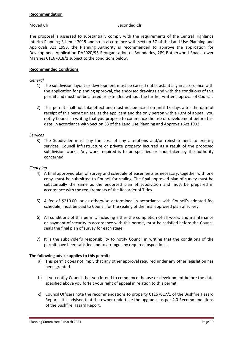#### **Recommendation**

#### Moved **Clr** Seconded **Clr**

The proposal is assessed to substantially comply with the requirements of the Central Highlands Interim Planning Scheme 2015 and so in accordance with section 57 of the Land Use Planning and Approvals Act 1993, the Planning Authority is recommended to approve the application for Development Application DA2020/95 Reorganisation of Boundaries, 289 Rotherwood Road, Lower Marshes CT167018/1 subject to the conditions below.

#### **Recommended Conditions**

#### *General*

- 1) The subdivision layout or development must be carried out substantially in accordance with the application for planning approval, the endorsed drawings and with the conditions of this permit and must not be altered or extended without the further written approval of Council.
- 2) This permit shall not take effect and must not be acted on until 15 days after the date of receipt of this permit unless, as the applicant and the only person with a right of appeal, you notify Council in writing that you propose to commence the use or development before this date, in accordance with Section 53 of the Land Use Planning and Approvals Act 1993.

#### *Services*

3) The Subdivider must pay the cost of any alterations and/or reinstatement to existing services, Council infrastructure or private property incurred as a result of the proposed subdivision works. Any work required is to be specified or undertaken by the authority concerned.

#### *Final plan*

- 4) A final approved plan of survey and schedule of easements as necessary, together with one copy, must be submitted to Council for sealing. The final approved plan of survey must be substantially the same as the endorsed plan of subdivision and must be prepared in accordance with the requirements of the Recorder of Titles.
- 5) A fee of \$210.00, or as otherwise determined in accordance with Council's adopted fee schedule, must be paid to Council for the sealing of the final approved plan of survey.
- 6) All conditions of this permit, including either the completion of all works and maintenance or payment of security in accordance with this permit, must be satisfied before the Council seals the final plan of survey for each stage.
- 7) It is the subdivider's responsibility to notify Council in writing that the conditions of the permit have been satisfied and to arrange any required inspections.

#### **The following advice applies to this permit:**

- a) This permit does not imply that any other approval required under any other legislation has been granted.
- b) If you notify Council that you intend to commence the use or development before the date specified above you forfeit your right of appeal in relation to this permit.
- c) Council Officers note the recommendations to property CT167017/1 of the Bushfire Hazard Report. It is advised that the owner undertake the upgrades as per 4.0 Recommendations of the Bushfire Hazard Report.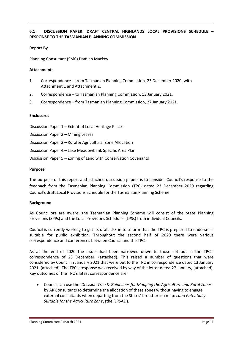#### **6.1 DISCUSSION PAPER: DRAFT CENTRAL HIGHLANDS LOCAL PROVISIONS SCHEDULE – RESPONSE TO THE TASMANIAN PLANNING COMMISSION**

#### **Report By**

Planning Consultant (SMC) Damian Mackey

#### **Attachments**

- 1. Correspondence from Tasmanian Planning Commission, 23 December 2020, with Attachment 1 and Attachment 2.
- 2. Correspondence to Tasmanian Planning Commission, 13 January 2021.
- 3. Correspondence from Tasmanian Planning Commission, 27 January 2021.

#### **Enclosures**

Discussion Paper 1 – Extent of Local Heritage Places

Discussion Paper 2 – Mining Leases

Discussion Paper 3 – Rural & Agricultural Zone Allocation

Discussion Paper 4 – Lake Meadowbank Specific Area Plan

Discussion Paper 5 – Zoning of Land with Conservation Covenants

#### **Purpose**

The purpose of this report and attached discussion papers is to consider Council's response to the feedback from the Tasmanian Planning Commission (TPC) dated 23 December 2020 regarding Council's draft Local Provisions Schedule for the Tasmanian Planning Scheme.

#### **Background**

As Councillors are aware, the Tasmanian Planning Scheme will consist of the State Planning Provisions (SPPs) and the Local Provisions Schedules (LPSs) from individual Councils.

Council is currently working to get its draft LPS in to a form that the TPC is prepared to endorse as suitable for public exhibition. Throughout the second half of 2020 there were various correspondence and conferences between Council and the TPC.

As at the end of 2020 the issues had been narrowed down to those set out in the TPC's correspondence of 23 December, (attached). This raised a number of questions that were considered by Council in January 2021 that were put to the TPC in correspondence dated 13 January 2021, (attached). The TPC's response was received by way of the letter dated 27 January, (attached). Key outcomes of the TPC's latest correspondence are:

 Council can use the '*Decision Tree & Guidelines for Mapping the Agriculture and Rural Zones*' by AK Consultants to determine the allocation of these zones without having to engage external consultants when departing from the States' broad-brush map: *Land Potentially Suitable for the Agriculture Zone*, (the 'LPSAZ').